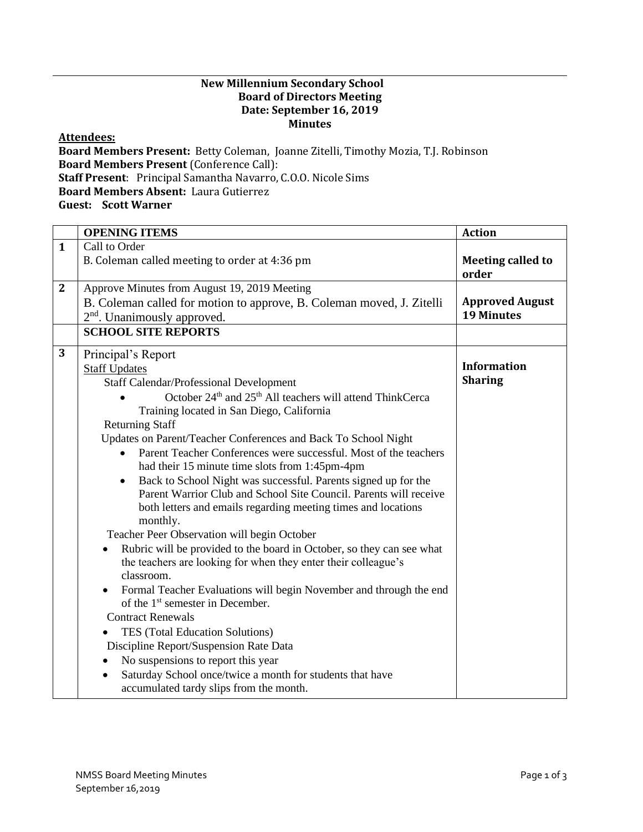## **New Millennium Secondary School Board of Directors Meeting Date: September 16, 2019 Minutes**

## **Attendees:**

**Board Members Present:** Betty Coleman, Joanne Zitelli, Timothy Mozia, T.J. Robinson **Board Members Present** (Conference Call): **Staff Present**: Principal Samantha Navarro, C.O.O. Nicole Sims **Board Members Absent:** Laura Gutierrez **Guest: Scott Warner**

| <b>OPENING ITEMS</b>                                                  | <b>Action</b>                                                                                                                                                                                                                                                                                                                                                                                                                                                                                                                                                                                                                                                                                                                                                                                                                                 |
|-----------------------------------------------------------------------|-----------------------------------------------------------------------------------------------------------------------------------------------------------------------------------------------------------------------------------------------------------------------------------------------------------------------------------------------------------------------------------------------------------------------------------------------------------------------------------------------------------------------------------------------------------------------------------------------------------------------------------------------------------------------------------------------------------------------------------------------------------------------------------------------------------------------------------------------|
| Call to Order                                                         |                                                                                                                                                                                                                                                                                                                                                                                                                                                                                                                                                                                                                                                                                                                                                                                                                                               |
| B. Coleman called meeting to order at 4:36 pm                         | <b>Meeting called to</b><br>order                                                                                                                                                                                                                                                                                                                                                                                                                                                                                                                                                                                                                                                                                                                                                                                                             |
| Approve Minutes from August 19, 2019 Meeting                          |                                                                                                                                                                                                                                                                                                                                                                                                                                                                                                                                                                                                                                                                                                                                                                                                                                               |
| B. Coleman called for motion to approve, B. Coleman moved, J. Zitelli | <b>Approved August</b><br><b>19 Minutes</b>                                                                                                                                                                                                                                                                                                                                                                                                                                                                                                                                                                                                                                                                                                                                                                                                   |
| <b>SCHOOL SITE REPORTS</b>                                            |                                                                                                                                                                                                                                                                                                                                                                                                                                                                                                                                                                                                                                                                                                                                                                                                                                               |
| Principal's Report                                                    | <b>Information</b>                                                                                                                                                                                                                                                                                                                                                                                                                                                                                                                                                                                                                                                                                                                                                                                                                            |
|                                                                       | <b>Sharing</b>                                                                                                                                                                                                                                                                                                                                                                                                                                                                                                                                                                                                                                                                                                                                                                                                                                |
|                                                                       |                                                                                                                                                                                                                                                                                                                                                                                                                                                                                                                                                                                                                                                                                                                                                                                                                                               |
| Training located in San Diego, California                             |                                                                                                                                                                                                                                                                                                                                                                                                                                                                                                                                                                                                                                                                                                                                                                                                                                               |
| <b>Returning Staff</b>                                                |                                                                                                                                                                                                                                                                                                                                                                                                                                                                                                                                                                                                                                                                                                                                                                                                                                               |
| Updates on Parent/Teacher Conferences and Back To School Night        |                                                                                                                                                                                                                                                                                                                                                                                                                                                                                                                                                                                                                                                                                                                                                                                                                                               |
|                                                                       |                                                                                                                                                                                                                                                                                                                                                                                                                                                                                                                                                                                                                                                                                                                                                                                                                                               |
|                                                                       |                                                                                                                                                                                                                                                                                                                                                                                                                                                                                                                                                                                                                                                                                                                                                                                                                                               |
|                                                                       |                                                                                                                                                                                                                                                                                                                                                                                                                                                                                                                                                                                                                                                                                                                                                                                                                                               |
|                                                                       |                                                                                                                                                                                                                                                                                                                                                                                                                                                                                                                                                                                                                                                                                                                                                                                                                                               |
| monthly.                                                              |                                                                                                                                                                                                                                                                                                                                                                                                                                                                                                                                                                                                                                                                                                                                                                                                                                               |
| Teacher Peer Observation will begin October                           |                                                                                                                                                                                                                                                                                                                                                                                                                                                                                                                                                                                                                                                                                                                                                                                                                                               |
|                                                                       |                                                                                                                                                                                                                                                                                                                                                                                                                                                                                                                                                                                                                                                                                                                                                                                                                                               |
|                                                                       |                                                                                                                                                                                                                                                                                                                                                                                                                                                                                                                                                                                                                                                                                                                                                                                                                                               |
|                                                                       |                                                                                                                                                                                                                                                                                                                                                                                                                                                                                                                                                                                                                                                                                                                                                                                                                                               |
| of the 1 <sup>st</sup> semester in December.                          |                                                                                                                                                                                                                                                                                                                                                                                                                                                                                                                                                                                                                                                                                                                                                                                                                                               |
| <b>Contract Renewals</b>                                              |                                                                                                                                                                                                                                                                                                                                                                                                                                                                                                                                                                                                                                                                                                                                                                                                                                               |
| TES (Total Education Solutions)                                       |                                                                                                                                                                                                                                                                                                                                                                                                                                                                                                                                                                                                                                                                                                                                                                                                                                               |
| Discipline Report/Suspension Rate Data                                |                                                                                                                                                                                                                                                                                                                                                                                                                                                                                                                                                                                                                                                                                                                                                                                                                                               |
| No suspensions to report this year<br>$\bullet$                       |                                                                                                                                                                                                                                                                                                                                                                                                                                                                                                                                                                                                                                                                                                                                                                                                                                               |
| $\bullet$<br>accumulated tardy slips from the month.                  |                                                                                                                                                                                                                                                                                                                                                                                                                                                                                                                                                                                                                                                                                                                                                                                                                                               |
|                                                                       | 2 <sup>nd</sup> . Unanimously approved.<br><b>Staff Updates</b><br><b>Staff Calendar/Professional Development</b><br>October 24 <sup>th</sup> and 25 <sup>th</sup> All teachers will attend ThinkCerca<br>Parent Teacher Conferences were successful. Most of the teachers<br>had their 15 minute time slots from 1:45pm-4pm<br>Back to School Night was successful. Parents signed up for the<br>Parent Warrior Club and School Site Council. Parents will receive<br>both letters and emails regarding meeting times and locations<br>Rubric will be provided to the board in October, so they can see what<br>the teachers are looking for when they enter their colleague's<br>classroom.<br>Formal Teacher Evaluations will begin November and through the end<br>$\bullet$<br>Saturday School once/twice a month for students that have |